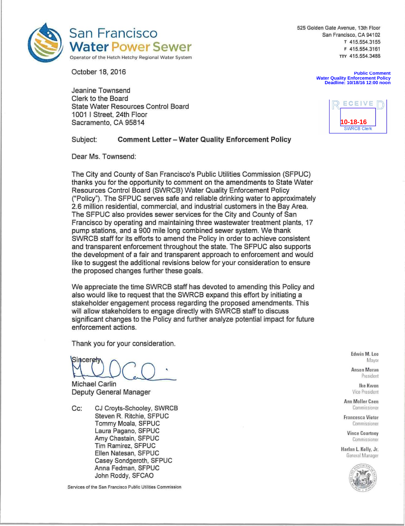

525 Golden Gate Avenue, 13th Floor San Francisco, CA 94102 **<sup>T</sup>**415.554.3155 **<sup>F</sup>**415.554.3161 **TTY** 415.554,3488

October 18, 2016

Jeanine Townsend Clerk to the Board State Water Resources Control Board 1001 I Street, 24th Floor Sacramento, CA 95814

ECEIVE

**10-18-16**

**Water Quality Enforcement Policy Deadline: 10/18/16 12:00 noon**

**Public Comment**

#### Subject: **Comment Letter — Water Quality Enforcement Policy**

Dear Ms. Townsend:

The City and County of San Francisco's Public Utilities Commission (SFPUC) thanks you for the opportunity to comment on the amendments to State Water Resources Control Board (SWRCB) Water Quality Enforcement Policy ("Policy"). The SFPUC serves safe and reliable drinking water to approximately 2.6 million residential, commercial, and industrial customers in the Bay Area. The SFPUC also provides sewer services for the City and County of San Francisco by operating and maintaining three wastewater treatment plants, 17 pump stations, and a 900 mile long combined sewer system. We thank SWRCB staff for its efforts to amend the Policy in order to achieve consistent and transparent enforcement throughout the state. The SFPUC also supports the development of a fair and transparent approach to enforcement and would like to suggest the additional revisions below for your consideration to ensure the proposed changes further these goals.

We appreciate the time SWRCB staff has devoted to amending this Policy and also would like to request that the SWRCB expand this effort by initiating a stakeholder engagement process regarding the proposed amendments. This will allow stakeholders to engage directly with SWRCB staff to discuss significant changes to the Policy and further analyze potential impact for future enforcement actions.

Thank you for your consideration.

Sinceret

Michael Carlin Deputy General Manager

Cc: CJ Croyts-Schooley, SWRCB Steven R. Ritchie, SFPUC Tommy Moala, SFPUC Laura Pagano, SFPUC Amy Chastain, SFPUC Tim Ramirez, SFPUC Ellen Natesan, SFPUC Casey Sondgeroth, SFPUC Anna Fedman, SFPUC John Roddy, SFCAO

Services of the San Francisco Public Utilities Commission

Edwin M. Lee<br>Mayor

Anson Moran President

Ike Kwon Vice President

**Ann** Moller Caen Commissioner

Francesca Viotor Commissioner

> Vince Courtney Commissioner

**Harlan L. Kelly, Jr.**  General Manager

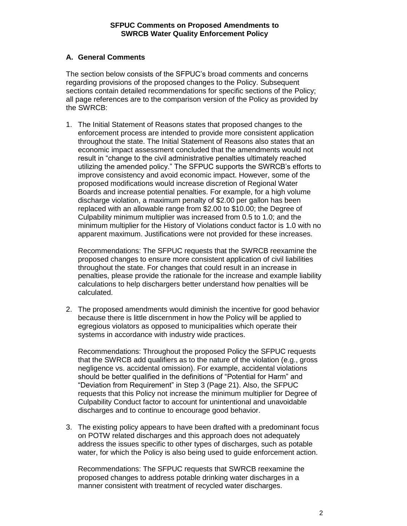# **A. General Comments**

The section below consists of the SFPUC's broad comments and concerns regarding provisions of the proposed changes to the Policy. Subsequent sections contain detailed recommendations for specific sections of the Policy; all page references are to the comparison version of the Policy as provided by the SWRCB:

1. The Initial Statement of Reasons states that proposed changes to the enforcement process are intended to provide more consistent application throughout the state. The Initial Statement of Reasons also states that an economic impact assessment concluded that the amendments would not result in "change to the civil administrative penalties ultimately reached utilizing the amended policy." The SFPUC supports the SWRCB's efforts to improve consistency and avoid economic impact. However, some of the proposed modifications would increase discretion of Regional Water Boards and increase potential penalties. For example, for a high volume discharge violation, a maximum penalty of \$2.00 per gallon has been replaced with an allowable range from \$2.00 to \$10.00; the Degree of Culpability minimum multiplier was increased from 0.5 to 1.0; and the minimum multiplier for the History of Violations conduct factor is 1.0 with no apparent maximum. Justifications were not provided for these increases.

Recommendations: The SFPUC requests that the SWRCB reexamine the proposed changes to ensure more consistent application of civil liabilities throughout the state. For changes that could result in an increase in penalties, please provide the rationale for the increase and example liability calculations to help dischargers better understand how penalties will be calculated.

2. The proposed amendments would diminish the incentive for good behavior because there is little discernment in how the Policy will be applied to egregious violators as opposed to municipalities which operate their systems in accordance with industry wide practices.

Recommendations: Throughout the proposed Policy the SFPUC requests that the SWRCB add qualifiers as to the nature of the violation (e.g., gross negligence vs. accidental omission). For example, accidental violations should be better qualified in the definitions of "Potential for Harm" and "Deviation from Requirement" in Step 3 (Page 21). Also, the SFPUC requests that this Policy not increase the minimum multiplier for Degree of Culpability Conduct factor to account for unintentional and unavoidable discharges and to continue to encourage good behavior.

3. The existing policy appears to have been drafted with a predominant focus on POTW related discharges and this approach does not adequately address the issues specific to other types of discharges, such as potable water, for which the Policy is also being used to guide enforcement action.

Recommendations: The SFPUC requests that SWRCB reexamine the proposed changes to address potable drinking water discharges in a manner consistent with treatment of recycled water discharges.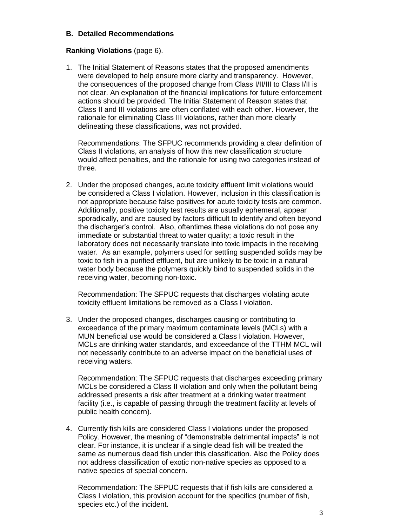### **B. Detailed Recommendations**

## **Ranking Violations** (page 6).

1. The Initial Statement of Reasons states that the proposed amendments were developed to help ensure more clarity and transparency. However, the consequences of the proposed change from Class I/II/III to Class I/II is not clear. An explanation of the financial implications for future enforcement actions should be provided. The Initial Statement of Reason states that Class II and III violations are often conflated with each other. However, the rationale for eliminating Class III violations, rather than more clearly delineating these classifications, was not provided.

Recommendations: The SFPUC recommends providing a clear definition of Class II violations, an analysis of how this new classification structure would affect penalties, and the rationale for using two categories instead of three.

2. Under the proposed changes, acute toxicity effluent limit violations would be considered a Class I violation. However, inclusion in this classification is not appropriate because false positives for acute toxicity tests are common. Additionally, positive toxicity test results are usually ephemeral, appear sporadically, and are caused by factors difficult to identify and often beyond the discharger's control. Also, oftentimes these violations do not pose any immediate or substantial threat to water quality; a toxic result in the laboratory does not necessarily translate into toxic impacts in the receiving water. As an example, polymers used for settling suspended solids may be toxic to fish in a purified effluent, but are unlikely to be toxic in a natural water body because the polymers quickly bind to suspended solids in the receiving water, becoming non-toxic.

Recommendation: The SFPUC requests that discharges violating acute toxicity effluent limitations be removed as a Class I violation.

3. Under the proposed changes, discharges causing or contributing to exceedance of the primary maximum contaminate levels (MCLs) with a MUN beneficial use would be considered a Class I violation. However, MCLs are drinking water standards, and exceedance of the TTHM MCL will not necessarily contribute to an adverse impact on the beneficial uses of receiving waters.

Recommendation: The SFPUC requests that discharges exceeding primary MCLs be considered a Class II violation and only when the pollutant being addressed presents a risk after treatment at a drinking water treatment facility (i.e., is capable of passing through the treatment facility at levels of public health concern).

4. Currently fish kills are considered Class I violations under the proposed Policy. However, the meaning of "demonstrable detrimental impacts" is not clear. For instance, it is unclear if a single dead fish will be treated the same as numerous dead fish under this classification. Also the Policy does not address classification of exotic non-native species as opposed to a native species of special concern.

Recommendation: The SFPUC requests that if fish kills are considered a Class I violation, this provision account for the specifics (number of fish, species etc.) of the incident.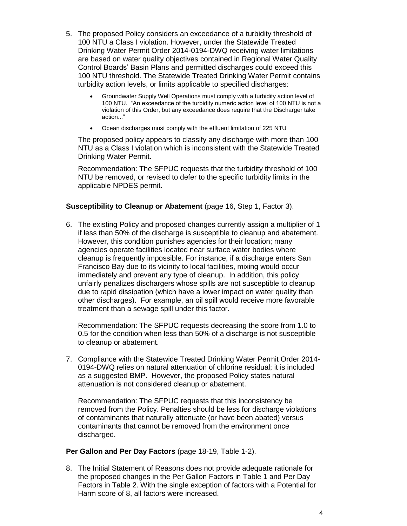- 5. The proposed Policy considers an exceedance of a turbidity threshold of 100 NTU a Class I violation. However, under the Statewide Treated Drinking Water Permit Order 2014-0194-DWQ receiving water limitations are based on water quality objectives contained in Regional Water Quality Control Boards' Basin Plans and permitted discharges could exceed this 100 NTU threshold. The Statewide Treated Drinking Water Permit contains turbidity action levels, or limits applicable to specified discharges:
	- Groundwater Supply Well Operations must comply with a turbidity action level of 100 NTU. "An exceedance of the turbidity numeric action level of 100 NTU is not a violation of this Order, but any exceedance does require that the Discharger take action..."
	- Ocean discharges must comply with the effluent limitation of 225 NTU

The proposed policy appears to classify any discharge with more than 100 NTU as a Class I violation which is inconsistent with the Statewide Treated Drinking Water Permit.

Recommendation: The SFPUC requests that the turbidity threshold of 100 NTU be removed, or revised to defer to the specific turbidity limits in the applicable NPDES permit.

# **Susceptibility to Cleanup or Abatement** (page 16, Step 1, Factor 3).

6. The existing Policy and proposed changes currently assign a multiplier of 1 if less than 50% of the discharge is susceptible to cleanup and abatement. However, this condition punishes agencies for their location; many agencies operate facilities located near surface water bodies where cleanup is frequently impossible. For instance, if a discharge enters San Francisco Bay due to its vicinity to local facilities, mixing would occur immediately and prevent any type of cleanup. In addition, this policy unfairly penalizes dischargers whose spills are not susceptible to cleanup due to rapid dissipation (which have a lower impact on water quality than other discharges). For example, an oil spill would receive more favorable treatment than a sewage spill under this factor.

Recommendation: The SFPUC requests decreasing the score from 1.0 to 0.5 for the condition when less than 50% of a discharge is not susceptible to cleanup or abatement.

7. Compliance with the Statewide Treated Drinking Water Permit Order 2014- 0194-DWQ relies on natural attenuation of chlorine residual; it is included as a suggested BMP. However, the proposed Policy states natural attenuation is not considered cleanup or abatement.

Recommendation: The SFPUC requests that this inconsistency be removed from the Policy. Penalties should be less for discharge violations of contaminants that naturally attenuate (or have been abated) versus contaminants that cannot be removed from the environment once discharged.

#### **Per Gallon and Per Day Factors** (page 18-19, Table 1-2).

8. The Initial Statement of Reasons does not provide adequate rationale for the proposed changes in the Per Gallon Factors in Table 1 and Per Day Factors in Table 2. With the single exception of factors with a Potential for Harm score of 8, all factors were increased.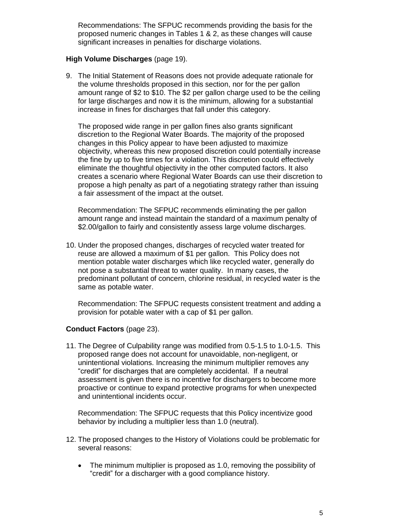Recommendations: The SFPUC recommends providing the basis for the proposed numeric changes in Tables 1 & 2, as these changes will cause significant increases in penalties for discharge violations.

## **High Volume Discharges** (page 19).

9. The Initial Statement of Reasons does not provide adequate rationale for the volume thresholds proposed in this section, nor for the per gallon amount range of \$2 to \$10. The \$2 per gallon charge used to be the ceiling for large discharges and now it is the minimum, allowing for a substantial increase in fines for discharges that fall under this category.

The proposed wide range in per gallon fines also grants significant discretion to the Regional Water Boards. The majority of the proposed changes in this Policy appear to have been adjusted to maximize objectivity, whereas this new proposed discretion could potentially increase the fine by up to five times for a violation. This discretion could effectively eliminate the thoughtful objectivity in the other computed factors. It also creates a scenario where Regional Water Boards can use their discretion to propose a high penalty as part of a negotiating strategy rather than issuing a fair assessment of the impact at the outset.

Recommendation: The SFPUC recommends eliminating the per gallon amount range and instead maintain the standard of a maximum penalty of \$2.00/gallon to fairly and consistently assess large volume discharges.

10. Under the proposed changes, discharges of recycled water treated for reuse are allowed a maximum of \$1 per gallon. This Policy does not mention potable water discharges which like recycled water, generally do not pose a substantial threat to water quality. In many cases, the predominant pollutant of concern, chlorine residual, in recycled water is the same as potable water.

Recommendation: The SFPUC requests consistent treatment and adding a provision for potable water with a cap of \$1 per gallon.

#### **Conduct Factors** (page 23).

11. The Degree of Culpability range was modified from 0.5-1.5 to 1.0-1.5. This proposed range does not account for unavoidable, non-negligent, or unintentional violations. Increasing the minimum multiplier removes any "credit" for discharges that are completely accidental. If a neutral assessment is given there is no incentive for dischargers to become more proactive or continue to expand protective programs for when unexpected and unintentional incidents occur.

Recommendation: The SFPUC requests that this Policy incentivize good behavior by including a multiplier less than 1.0 (neutral).

- 12. The proposed changes to the History of Violations could be problematic for several reasons:
	- The minimum multiplier is proposed as 1.0, removing the possibility of "credit" for a discharger with a good compliance history.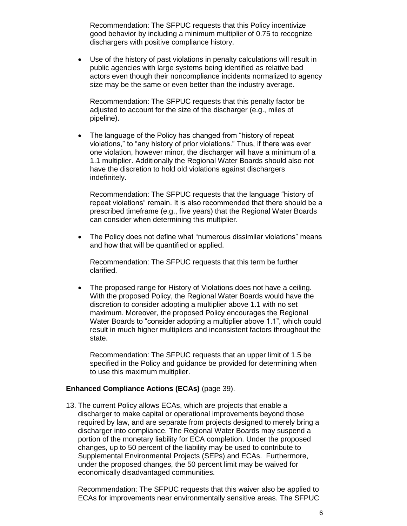Recommendation: The SFPUC requests that this Policy incentivize good behavior by including a minimum multiplier of 0.75 to recognize dischargers with positive compliance history.

 Use of the history of past violations in penalty calculations will result in public agencies with large systems being identified as relative bad actors even though their noncompliance incidents normalized to agency size may be the same or even better than the industry average.

Recommendation: The SFPUC requests that this penalty factor be adjusted to account for the size of the discharger (e.g., miles of pipeline).

• The language of the Policy has changed from "history of repeat" violations," to "any history of prior violations." Thus, if there was ever one violation, however minor, the discharger will have a minimum of a 1.1 multiplier. Additionally the Regional Water Boards should also not have the discretion to hold old violations against dischargers indefinitely.

Recommendation: The SFPUC requests that the language "history of repeat violations" remain. It is also recommended that there should be a prescribed timeframe (e.g., five years) that the Regional Water Boards can consider when determining this multiplier.

• The Policy does not define what "numerous dissimilar violations" means and how that will be quantified or applied.

Recommendation: The SFPUC requests that this term be further clarified.

 The proposed range for History of Violations does not have a ceiling. With the proposed Policy, the Regional Water Boards would have the discretion to consider adopting a multiplier above 1.1 with no set maximum. Moreover, the proposed Policy encourages the Regional Water Boards to "consider adopting a multiplier above 1.1", which could result in much higher multipliers and inconsistent factors throughout the state.

Recommendation: The SFPUC requests that an upper limit of 1.5 be specified in the Policy and guidance be provided for determining when to use this maximum multiplier.

### **Enhanced Compliance Actions (ECAs)** (page 39).

13. The current Policy allows ECAs, which are projects that enable a discharger to make capital or operational improvements beyond those required by law, and are separate from projects designed to merely bring a discharger into compliance. The Regional Water Boards may suspend a portion of the monetary liability for ECA completion. Under the proposed changes, up to 50 percent of the liability may be used to contribute to Supplemental Environmental Projects (SEPs) and ECAs. Furthermore, under the proposed changes, the 50 percent limit may be waived for economically disadvantaged communities.

Recommendation: The SFPUC requests that this waiver also be applied to ECAs for improvements near environmentally sensitive areas. The SFPUC